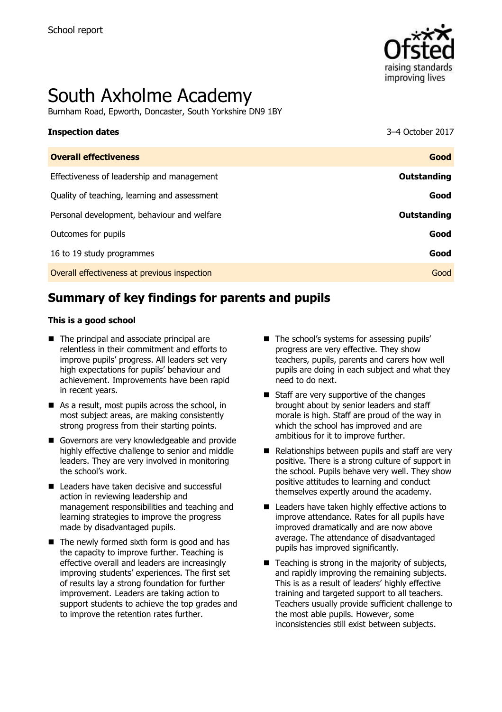

# South Axholme Academy

Burnham Road, Epworth, Doncaster, South Yorkshire DN9 1BY

| <b>Inspection dates</b>                      | 3–4 October 2017 |
|----------------------------------------------|------------------|
| <b>Overall effectiveness</b>                 | Good             |
| Effectiveness of leadership and management   | Outstanding      |
| Quality of teaching, learning and assessment | Good             |
| Personal development, behaviour and welfare  | Outstanding      |
| Outcomes for pupils                          | Good             |
| 16 to 19 study programmes                    | Good             |
| Overall effectiveness at previous inspection | Good             |

# **Summary of key findings for parents and pupils**

#### **This is a good school**

- The principal and associate principal are relentless in their commitment and efforts to improve pupils' progress. All leaders set very high expectations for pupils' behaviour and achievement. Improvements have been rapid in recent years.
- As a result, most pupils across the school, in most subject areas, are making consistently strong progress from their starting points.
- Governors are very knowledgeable and provide highly effective challenge to senior and middle leaders. They are very involved in monitoring the school's work.
- Leaders have taken decisive and successful action in reviewing leadership and management responsibilities and teaching and learning strategies to improve the progress made by disadvantaged pupils.
- $\blacksquare$  The newly formed sixth form is good and has the capacity to improve further. Teaching is effective overall and leaders are increasingly improving students' experiences. The first set of results lay a strong foundation for further improvement. Leaders are taking action to support students to achieve the top grades and to improve the retention rates further.
- The school's systems for assessing pupils' progress are very effective. They show teachers, pupils, parents and carers how well pupils are doing in each subject and what they need to do next.
- Staff are very supportive of the changes brought about by senior leaders and staff morale is high. Staff are proud of the way in which the school has improved and are ambitious for it to improve further.
- $\blacksquare$  Relationships between pupils and staff are very positive. There is a strong culture of support in the school. Pupils behave very well. They show positive attitudes to learning and conduct themselves expertly around the academy.
- Leaders have taken highly effective actions to improve attendance. Rates for all pupils have improved dramatically and are now above average. The attendance of disadvantaged pupils has improved significantly.
- $\blacksquare$  Teaching is strong in the majority of subjects, and rapidly improving the remaining subjects. This is as a result of leaders' highly effective training and targeted support to all teachers. Teachers usually provide sufficient challenge to the most able pupils. However, some inconsistencies still exist between subjects.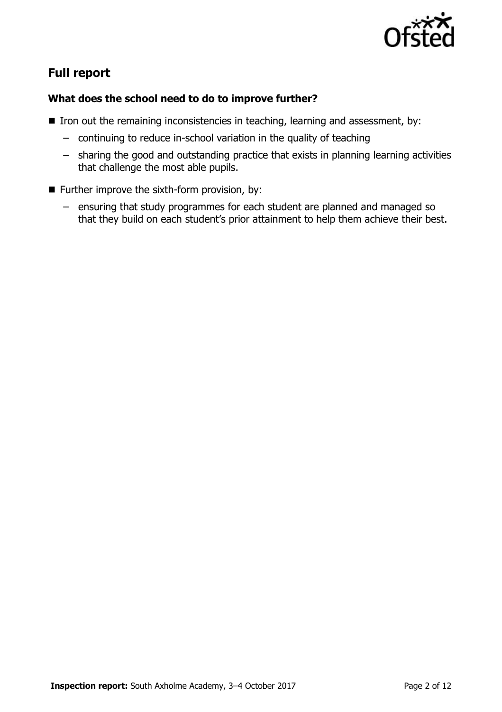

# **Full report**

### **What does the school need to do to improve further?**

- $\blacksquare$  Iron out the remaining inconsistencies in teaching, learning and assessment, by:
	- continuing to reduce in-school variation in the quality of teaching
	- sharing the good and outstanding practice that exists in planning learning activities that challenge the most able pupils.
- $\blacksquare$  Further improve the sixth-form provision, by:
	- ensuring that study programmes for each student are planned and managed so that they build on each student's prior attainment to help them achieve their best.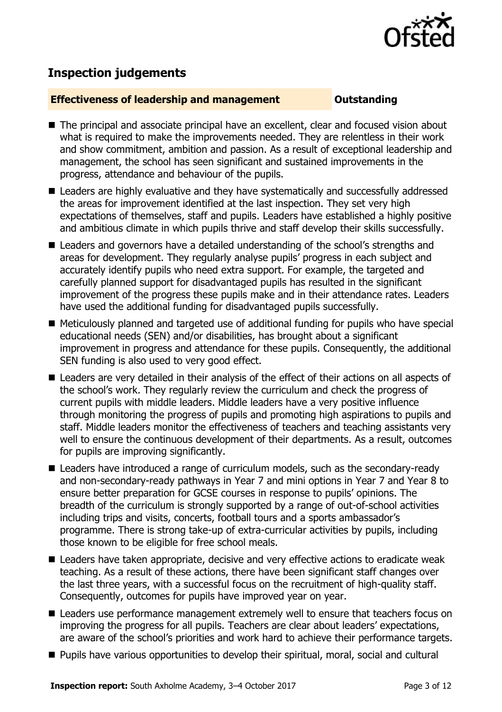

# **Inspection judgements**

#### **Effectiveness of leadership and management Constanding**

- The principal and associate principal have an excellent, clear and focused vision about what is required to make the improvements needed. They are relentless in their work and show commitment, ambition and passion. As a result of exceptional leadership and management, the school has seen significant and sustained improvements in the progress, attendance and behaviour of the pupils.
- Leaders are highly evaluative and they have systematically and successfully addressed the areas for improvement identified at the last inspection. They set very high expectations of themselves, staff and pupils. Leaders have established a highly positive and ambitious climate in which pupils thrive and staff develop their skills successfully.
- Leaders and governors have a detailed understanding of the school's strengths and areas for development. They regularly analyse pupils' progress in each subject and accurately identify pupils who need extra support. For example, the targeted and carefully planned support for disadvantaged pupils has resulted in the significant improvement of the progress these pupils make and in their attendance rates. Leaders have used the additional funding for disadvantaged pupils successfully.
- Meticulously planned and targeted use of additional funding for pupils who have special educational needs (SEN) and/or disabilities, has brought about a significant improvement in progress and attendance for these pupils. Consequently, the additional SEN funding is also used to very good effect.
- Leaders are very detailed in their analysis of the effect of their actions on all aspects of the school's work. They regularly review the curriculum and check the progress of current pupils with middle leaders. Middle leaders have a very positive influence through monitoring the progress of pupils and promoting high aspirations to pupils and staff. Middle leaders monitor the effectiveness of teachers and teaching assistants very well to ensure the continuous development of their departments. As a result, outcomes for pupils are improving significantly.
- Leaders have introduced a range of curriculum models, such as the secondary-ready and non-secondary-ready pathways in Year 7 and mini options in Year 7 and Year 8 to ensure better preparation for GCSE courses in response to pupils' opinions. The breadth of the curriculum is strongly supported by a range of out-of-school activities including trips and visits, concerts, football tours and a sports ambassador's programme. There is strong take-up of extra-curricular activities by pupils, including those known to be eligible for free school meals.
- Leaders have taken appropriate, decisive and very effective actions to eradicate weak teaching. As a result of these actions, there have been significant staff changes over the last three years, with a successful focus on the recruitment of high-quality staff. Consequently, outcomes for pupils have improved year on year.
- Leaders use performance management extremely well to ensure that teachers focus on improving the progress for all pupils. Teachers are clear about leaders' expectations, are aware of the school's priorities and work hard to achieve their performance targets.
- **Pupils have various opportunities to develop their spiritual, moral, social and cultural**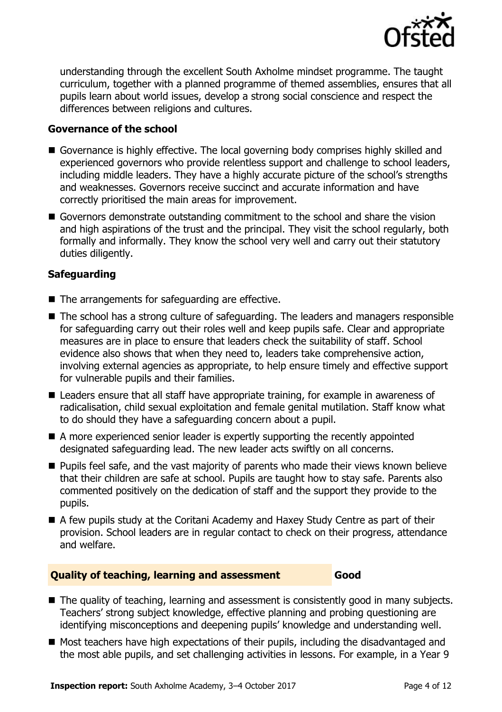

understanding through the excellent South Axholme mindset programme. The taught curriculum, together with a planned programme of themed assemblies, ensures that all pupils learn about world issues, develop a strong social conscience and respect the differences between religions and cultures.

#### **Governance of the school**

- Governance is highly effective. The local governing body comprises highly skilled and experienced governors who provide relentless support and challenge to school leaders, including middle leaders. They have a highly accurate picture of the school's strengths and weaknesses. Governors receive succinct and accurate information and have correctly prioritised the main areas for improvement.
- Governors demonstrate outstanding commitment to the school and share the vision and high aspirations of the trust and the principal. They visit the school regularly, both formally and informally. They know the school very well and carry out their statutory duties diligently.

### **Safeguarding**

- The arrangements for safeguarding are effective.
- The school has a strong culture of safeguarding. The leaders and managers responsible for safeguarding carry out their roles well and keep pupils safe. Clear and appropriate measures are in place to ensure that leaders check the suitability of staff. School evidence also shows that when they need to, leaders take comprehensive action, involving external agencies as appropriate, to help ensure timely and effective support for vulnerable pupils and their families.
- Leaders ensure that all staff have appropriate training, for example in awareness of radicalisation, child sexual exploitation and female genital mutilation. Staff know what to do should they have a safeguarding concern about a pupil.
- A more experienced senior leader is expertly supporting the recently appointed designated safeguarding lead. The new leader acts swiftly on all concerns.
- **Pupils feel safe, and the vast majority of parents who made their views known believe** that their children are safe at school. Pupils are taught how to stay safe. Parents also commented positively on the dedication of staff and the support they provide to the pupils.
- A few pupils study at the Coritani Academy and Haxey Study Centre as part of their provision. School leaders are in regular contact to check on their progress, attendance and welfare.

#### **Quality of teaching, learning and assessment Good**

■ The quality of teaching, learning and assessment is consistently good in many subjects. Teachers' strong subject knowledge, effective planning and probing questioning are identifying misconceptions and deepening pupils' knowledge and understanding well.

■ Most teachers have high expectations of their pupils, including the disadvantaged and the most able pupils, and set challenging activities in lessons. For example, in a Year 9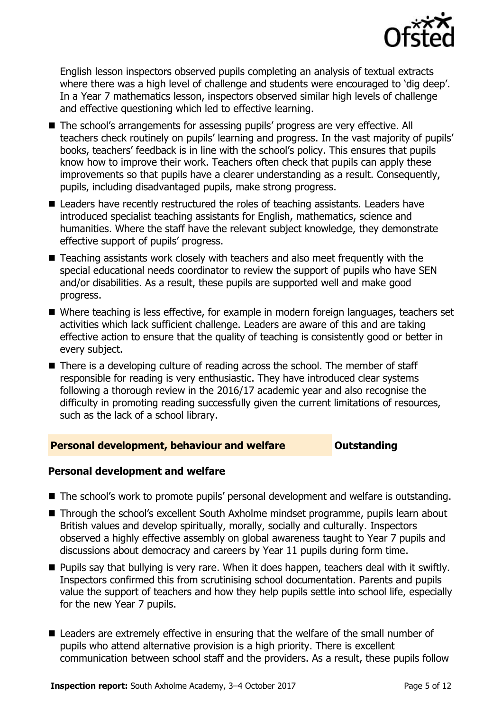

English lesson inspectors observed pupils completing an analysis of textual extracts where there was a high level of challenge and students were encouraged to 'dig deep'. In a Year 7 mathematics lesson, inspectors observed similar high levels of challenge and effective questioning which led to effective learning.

- The school's arrangements for assessing pupils' progress are very effective. All teachers check routinely on pupils' learning and progress. In the vast majority of pupils' books, teachers' feedback is in line with the school's policy. This ensures that pupils know how to improve their work. Teachers often check that pupils can apply these improvements so that pupils have a clearer understanding as a result. Consequently, pupils, including disadvantaged pupils, make strong progress.
- Leaders have recently restructured the roles of teaching assistants. Leaders have introduced specialist teaching assistants for English, mathematics, science and humanities. Where the staff have the relevant subject knowledge, they demonstrate effective support of pupils' progress.
- Teaching assistants work closely with teachers and also meet frequently with the special educational needs coordinator to review the support of pupils who have SEN and/or disabilities. As a result, these pupils are supported well and make good progress.
- Where teaching is less effective, for example in modern foreign languages, teachers set activities which lack sufficient challenge. Leaders are aware of this and are taking effective action to ensure that the quality of teaching is consistently good or better in every subject.
- There is a developing culture of reading across the school. The member of staff responsible for reading is very enthusiastic. They have introduced clear systems following a thorough review in the 2016/17 academic year and also recognise the difficulty in promoting reading successfully given the current limitations of resources, such as the lack of a school library.

#### **Personal development, behaviour and welfare <b>COUTS** Outstanding

#### **Personal development and welfare**

- The school's work to promote pupils' personal development and welfare is outstanding.
- Through the school's excellent South Axholme mindset programme, pupils learn about British values and develop spiritually, morally, socially and culturally. Inspectors observed a highly effective assembly on global awareness taught to Year 7 pupils and discussions about democracy and careers by Year 11 pupils during form time.
- **Pupils say that bullying is very rare. When it does happen, teachers deal with it swiftly.** Inspectors confirmed this from scrutinising school documentation. Parents and pupils value the support of teachers and how they help pupils settle into school life, especially for the new Year 7 pupils.
- Leaders are extremely effective in ensuring that the welfare of the small number of pupils who attend alternative provision is a high priority. There is excellent communication between school staff and the providers. As a result, these pupils follow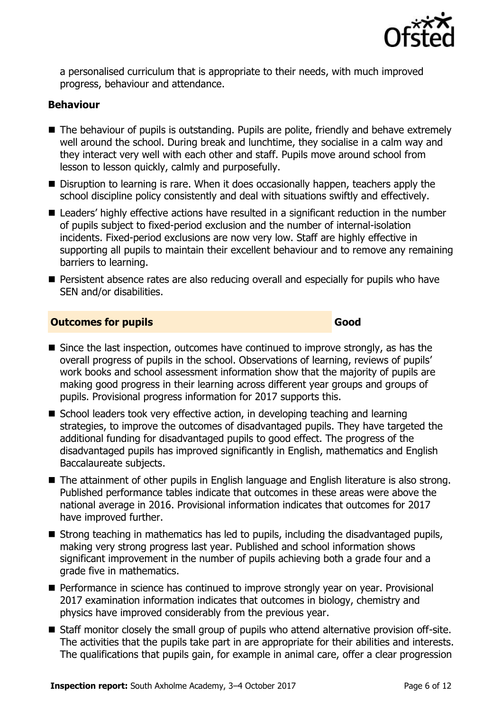

a personalised curriculum that is appropriate to their needs, with much improved progress, behaviour and attendance.

#### **Behaviour**

- The behaviour of pupils is outstanding. Pupils are polite, friendly and behave extremely well around the school. During break and lunchtime, they socialise in a calm way and they interact very well with each other and staff. Pupils move around school from lesson to lesson quickly, calmly and purposefully.
- Disruption to learning is rare. When it does occasionally happen, teachers apply the school discipline policy consistently and deal with situations swiftly and effectively.
- Leaders' highly effective actions have resulted in a significant reduction in the number of pupils subject to fixed-period exclusion and the number of internal-isolation incidents. Fixed-period exclusions are now very low. Staff are highly effective in supporting all pupils to maintain their excellent behaviour and to remove any remaining barriers to learning.
- **Persistent absence rates are also reducing overall and especially for pupils who have** SEN and/or disabilities.

#### **Outcomes for pupils Good Good**

- Since the last inspection, outcomes have continued to improve strongly, as has the overall progress of pupils in the school. Observations of learning, reviews of pupils' work books and school assessment information show that the majority of pupils are making good progress in their learning across different year groups and groups of pupils. Provisional progress information for 2017 supports this.
- School leaders took very effective action, in developing teaching and learning strategies, to improve the outcomes of disadvantaged pupils. They have targeted the additional funding for disadvantaged pupils to good effect. The progress of the disadvantaged pupils has improved significantly in English, mathematics and English Baccalaureate subjects.
- The attainment of other pupils in English language and English literature is also strong. Published performance tables indicate that outcomes in these areas were above the national average in 2016. Provisional information indicates that outcomes for 2017 have improved further.
- $\blacksquare$  Strong teaching in mathematics has led to pupils, including the disadvantaged pupils, making very strong progress last year. Published and school information shows significant improvement in the number of pupils achieving both a grade four and a grade five in mathematics.
- **Performance in science has continued to improve strongly year on year. Provisional** 2017 examination information indicates that outcomes in biology, chemistry and physics have improved considerably from the previous year.
- Staff monitor closely the small group of pupils who attend alternative provision off-site. The activities that the pupils take part in are appropriate for their abilities and interests. The qualifications that pupils gain, for example in animal care, offer a clear progression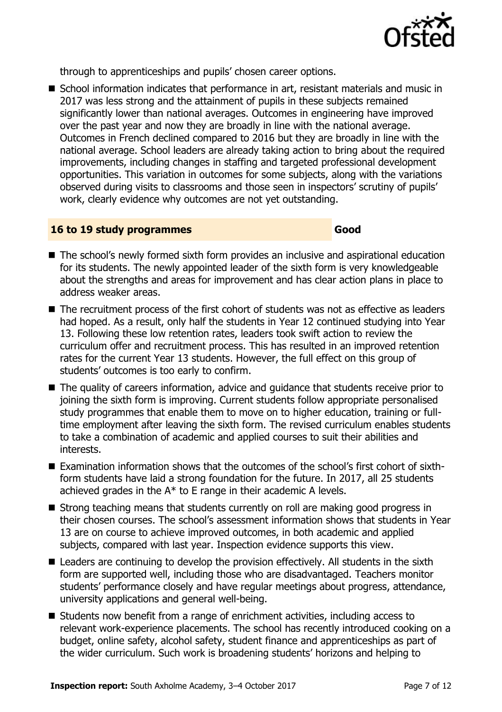

through to apprenticeships and pupils' chosen career options.

■ School information indicates that performance in art, resistant materials and music in 2017 was less strong and the attainment of pupils in these subjects remained significantly lower than national averages. Outcomes in engineering have improved over the past year and now they are broadly in line with the national average. Outcomes in French declined compared to 2016 but they are broadly in line with the national average. School leaders are already taking action to bring about the required improvements, including changes in staffing and targeted professional development opportunities. This variation in outcomes for some subjects, along with the variations observed during visits to classrooms and those seen in inspectors' scrutiny of pupils' work, clearly evidence why outcomes are not yet outstanding.

#### **16 to 19 study programmes Good**

- The school's newly formed sixth form provides an inclusive and aspirational education for its students. The newly appointed leader of the sixth form is very knowledgeable about the strengths and areas for improvement and has clear action plans in place to address weaker areas.
- The recruitment process of the first cohort of students was not as effective as leaders had hoped. As a result, only half the students in Year 12 continued studying into Year 13. Following these low retention rates, leaders took swift action to review the curriculum offer and recruitment process. This has resulted in an improved retention rates for the current Year 13 students. However, the full effect on this group of students' outcomes is too early to confirm.
- The quality of careers information, advice and guidance that students receive prior to joining the sixth form is improving. Current students follow appropriate personalised study programmes that enable them to move on to higher education, training or fulltime employment after leaving the sixth form. The revised curriculum enables students to take a combination of academic and applied courses to suit their abilities and interests.
- Examination information shows that the outcomes of the school's first cohort of sixthform students have laid a strong foundation for the future. In 2017, all 25 students achieved grades in the  $A^*$  to E range in their academic A levels.
- Strong teaching means that students currently on roll are making good progress in their chosen courses. The school's assessment information shows that students in Year 13 are on course to achieve improved outcomes, in both academic and applied subjects, compared with last year. Inspection evidence supports this view.
- Leaders are continuing to develop the provision effectively. All students in the sixth form are supported well, including those who are disadvantaged. Teachers monitor students' performance closely and have regular meetings about progress, attendance, university applications and general well-being.
- Students now benefit from a range of enrichment activities, including access to relevant work-experience placements. The school has recently introduced cooking on a budget, online safety, alcohol safety, student finance and apprenticeships as part of the wider curriculum. Such work is broadening students' horizons and helping to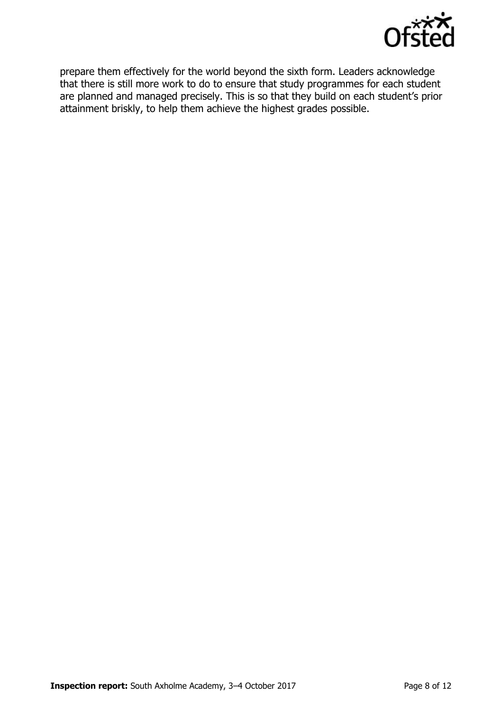

prepare them effectively for the world beyond the sixth form. Leaders acknowledge that there is still more work to do to ensure that study programmes for each student are planned and managed precisely. This is so that they build on each student's prior attainment briskly, to help them achieve the highest grades possible.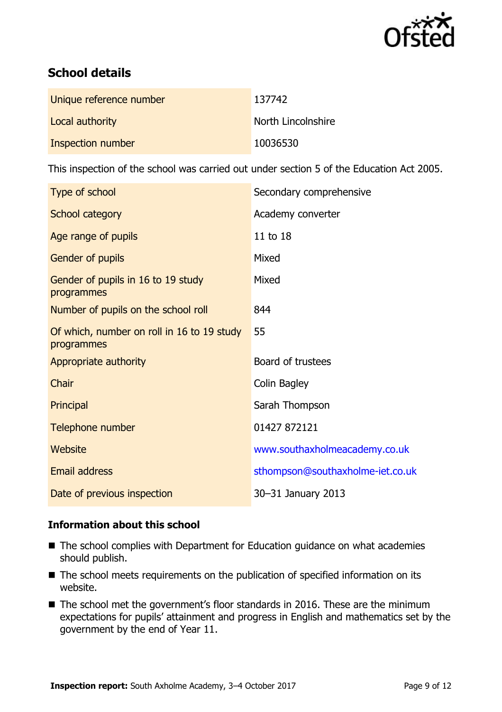

# **School details**

| Unique reference number | 137742             |
|-------------------------|--------------------|
| Local authority         | North Lincolnshire |
| Inspection number       | 10036530           |

This inspection of the school was carried out under section 5 of the Education Act 2005.

| Type of school                                           | Secondary comprehensive          |
|----------------------------------------------------------|----------------------------------|
| School category                                          | Academy converter                |
| Age range of pupils                                      | 11 to 18                         |
| Gender of pupils                                         | Mixed                            |
| Gender of pupils in 16 to 19 study<br>programmes         | Mixed                            |
| Number of pupils on the school roll                      | 844                              |
| Of which, number on roll in 16 to 19 study<br>programmes | 55                               |
| Appropriate authority                                    | Board of trustees                |
| Chair                                                    | Colin Bagley                     |
| Principal                                                | Sarah Thompson                   |
| Telephone number                                         | 01427 872121                     |
| Website                                                  | www.southaxholmeacademy.co.uk    |
| Email address                                            | sthompson@southaxholme-iet.co.uk |
| Date of previous inspection                              | 30-31 January 2013               |

#### **Information about this school**

- The school complies with Department for Education guidance on what academies should publish.
- The school meets requirements on the publication of specified information on its website.
- The school met the government's floor standards in 2016. These are the minimum expectations for pupils' attainment and progress in English and mathematics set by the government by the end of Year 11.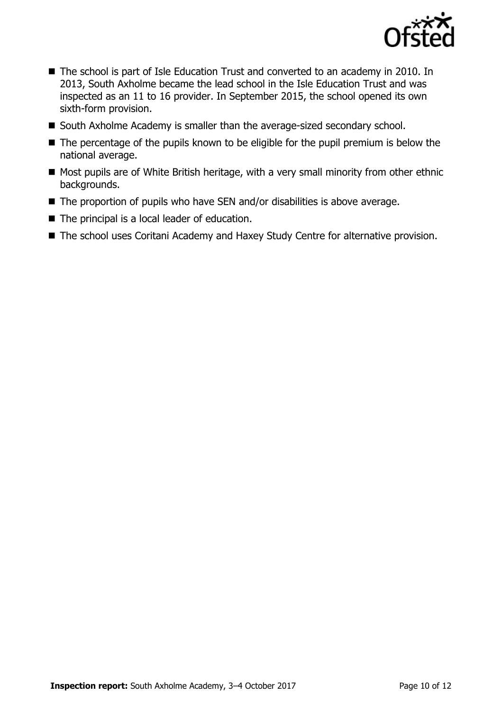

- The school is part of Isle Education Trust and converted to an academy in 2010. In 2013, South Axholme became the lead school in the Isle Education Trust and was inspected as an 11 to 16 provider. In September 2015, the school opened its own sixth-form provision.
- South Axholme Academy is smaller than the average-sized secondary school.
- The percentage of the pupils known to be eligible for the pupil premium is below the national average.
- Most pupils are of White British heritage, with a very small minority from other ethnic backgrounds.
- The proportion of pupils who have SEN and/or disabilities is above average.
- The principal is a local leader of education.
- The school uses Coritani Academy and Haxey Study Centre for alternative provision.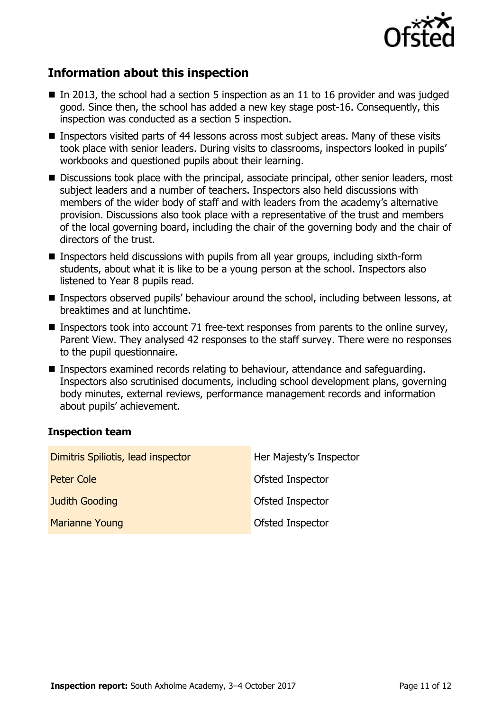

# **Information about this inspection**

- In 2013, the school had a section 5 inspection as an 11 to 16 provider and was judged good. Since then, the school has added a new key stage post-16. Consequently, this inspection was conducted as a section 5 inspection.
- Inspectors visited parts of 44 lessons across most subject areas. Many of these visits took place with senior leaders. During visits to classrooms, inspectors looked in pupils' workbooks and questioned pupils about their learning.
- Discussions took place with the principal, associate principal, other senior leaders, most subject leaders and a number of teachers. Inspectors also held discussions with members of the wider body of staff and with leaders from the academy's alternative provision. Discussions also took place with a representative of the trust and members of the local governing board, including the chair of the governing body and the chair of directors of the trust.
- Inspectors held discussions with pupils from all year groups, including sixth-form students, about what it is like to be a young person at the school. Inspectors also listened to Year 8 pupils read.
- Inspectors observed pupils' behaviour around the school, including between lessons, at breaktimes and at lunchtime.
- Inspectors took into account 71 free-text responses from parents to the online survey, Parent View. They analysed 42 responses to the staff survey. There were no responses to the pupil questionnaire.
- Inspectors examined records relating to behaviour, attendance and safeguarding. Inspectors also scrutinised documents, including school development plans, governing body minutes, external reviews, performance management records and information about pupils' achievement.

#### **Inspection team**

| Dimitris Spiliotis, lead inspector | Her Majesty's Inspector |
|------------------------------------|-------------------------|
| Peter Cole                         | Ofsted Inspector        |
| <b>Judith Gooding</b>              | Ofsted Inspector        |
| <b>Marianne Young</b>              | Ofsted Inspector        |